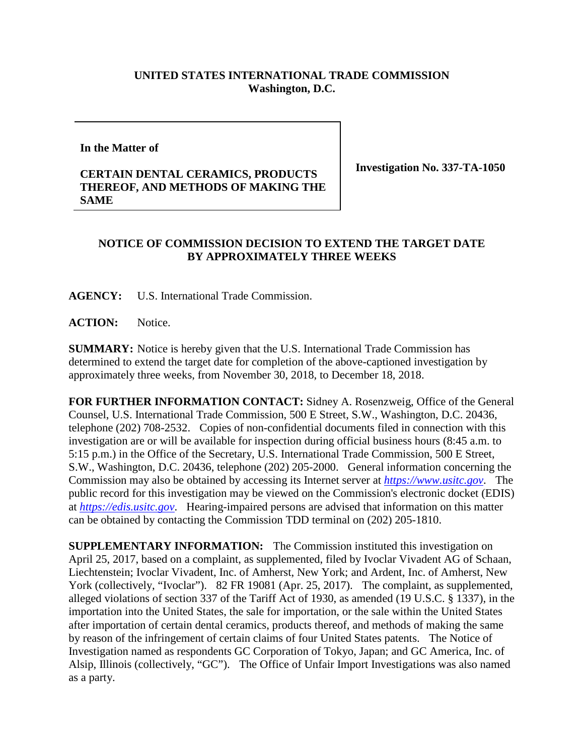## **UNITED STATES INTERNATIONAL TRADE COMMISSION Washington, D.C.**

**In the Matter of**

## **CERTAIN DENTAL CERAMICS, PRODUCTS THEREOF, AND METHODS OF MAKING THE SAME**

**Investigation No. 337-TA-1050**

## **NOTICE OF COMMISSION DECISION TO EXTEND THE TARGET DATE BY APPROXIMATELY THREE WEEKS**

**AGENCY:** U.S. International Trade Commission.

**ACTION:** Notice.

**SUMMARY:** Notice is hereby given that the U.S. International Trade Commission has determined to extend the target date for completion of the above-captioned investigation by approximately three weeks, from November 30, 2018, to December 18, 2018.

**FOR FURTHER INFORMATION CONTACT:** Sidney A. Rosenzweig, Office of the General Counsel, U.S. International Trade Commission, 500 E Street, S.W., Washington, D.C. 20436, telephone (202) 708-2532. Copies of non-confidential documents filed in connection with this investigation are or will be available for inspection during official business hours (8:45 a.m. to 5:15 p.m.) in the Office of the Secretary, U.S. International Trade Commission, 500 E Street, S.W., Washington, D.C. 20436, telephone (202) 205-2000. General information concerning the Commission may also be obtained by accessing its Internet server at *[https://www.usitc.gov](https://www.usitc.gov/)*. The public record for this investigation may be viewed on the Commission's electronic docket (EDIS) at *[https://edis.usitc.gov](https://edis.usitc.gov/)*. Hearing-impaired persons are advised that information on this matter can be obtained by contacting the Commission TDD terminal on (202) 205-1810.

**SUPPLEMENTARY INFORMATION:** The Commission instituted this investigation on April 25, 2017, based on a complaint, as supplemented, filed by Ivoclar Vivadent AG of Schaan, Liechtenstein; Ivoclar Vivadent, Inc. of Amherst, New York; and Ardent, Inc. of Amherst, New York (collectively, "Ivoclar"). 82 FR 19081 (Apr. 25, 2017). The complaint, as supplemented, alleged violations of section 337 of the Tariff Act of 1930, as amended (19 U.S.C. § 1337), in the importation into the United States, the sale for importation, or the sale within the United States after importation of certain dental ceramics, products thereof, and methods of making the same by reason of the infringement of certain claims of four United States patents. The Notice of Investigation named as respondents GC Corporation of Tokyo, Japan; and GC America, Inc. of Alsip, Illinois (collectively, "GC"). The Office of Unfair Import Investigations was also named as a party.